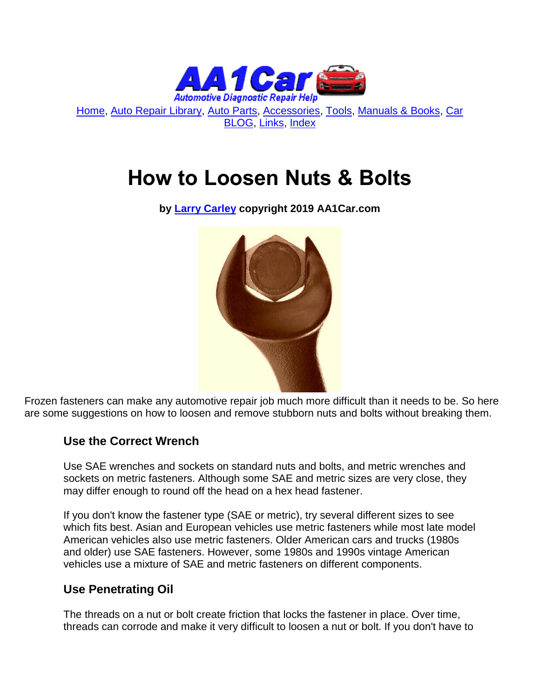

[Home,](http://www.aa1car.com/) [Auto Repair Library,](http://www.aa1car.com/library.htm) [Auto Parts,](http://www.aa1car.com/links_parts.htm) [Accessories,](http://www.aa1car.com/links_accessories.htm) [Tools,](http://www.aa1car.com/links_tools.htm) [Manuals & Books,](http://www.aa1car.com/links_books.htm) [Car](http://www.aa1car.com/blog/blog.htm)  [BLOG,](http://www.aa1car.com/blog/blog.htm) [Links,](http://www.aa1car.com/links.htm) [Index](http://www.aa1car.com/index_alphabetical.htm)

# **How to Loosen Nuts & Bolts**

**by [Larry Carley](https://www.aa1car.com/larrypage/larrycarley_photos.htm) copyright 2019 AA1Car.com**



Frozen fasteners can make any automotive repair job much more difficult than it needs to be. So here are some suggestions on how to loosen and remove stubborn nuts and bolts without breaking them.

## **Use the Correct Wrench**

Use SAE wrenches and sockets on standard nuts and bolts, and metric wrenches and sockets on metric fasteners. Although some SAE and metric sizes are very close, they may differ enough to round off the head on a hex head fastener.

If you don't know the fastener type (SAE or metric), try several different sizes to see which fits best. Asian and European vehicles use metric fasteners while most late model American vehicles also use metric fasteners. Older American cars and trucks (1980s and older) use SAE fasteners. However, some 1980s and 1990s vintage American vehicles use a mixture of SAE and metric fasteners on different components.

#### **Use Penetrating Oil**

The threads on a nut or bolt create friction that locks the fastener in place. Over time, threads can corrode and make it very difficult to loosen a nut or bolt. If you don't have to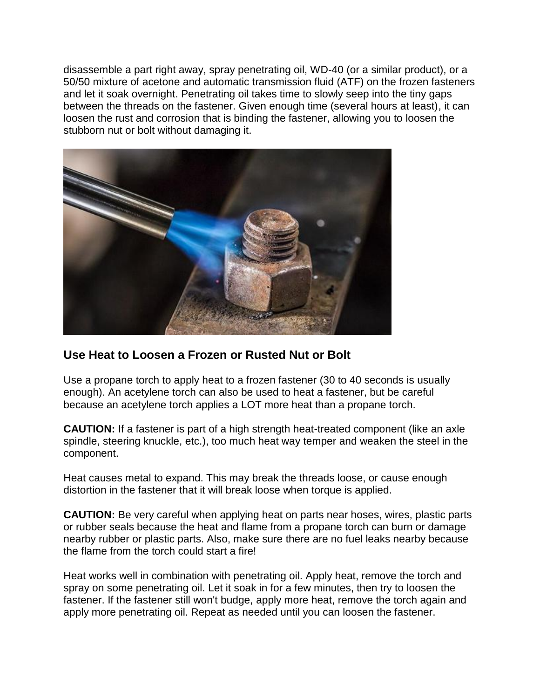disassemble a part right away, spray penetrating oil, WD-40 (or a similar product), or a 50/50 mixture of acetone and automatic transmission fluid (ATF) on the frozen fasteners and let it soak overnight. Penetrating oil takes time to slowly seep into the tiny gaps between the threads on the fastener. Given enough time (several hours at least), it can loosen the rust and corrosion that is binding the fastener, allowing you to loosen the stubborn nut or bolt without damaging it.



#### **Use Heat to Loosen a Frozen or Rusted Nut or Bolt**

Use a propane torch to apply heat to a frozen fastener (30 to 40 seconds is usually enough). An acetylene torch can also be used to heat a fastener, but be careful because an acetylene torch applies a LOT more heat than a propane torch.

**CAUTION:** If a fastener is part of a high strength heat-treated component (like an axle spindle, steering knuckle, etc.), too much heat way temper and weaken the steel in the component.

Heat causes metal to expand. This may break the threads loose, or cause enough distortion in the fastener that it will break loose when torque is applied.

**CAUTION:** Be very careful when applying heat on parts near hoses, wires, plastic parts or rubber seals because the heat and flame from a propane torch can burn or damage nearby rubber or plastic parts. Also, make sure there are no fuel leaks nearby because the flame from the torch could start a fire!

Heat works well in combination with penetrating oil. Apply heat, remove the torch and spray on some penetrating oil. Let it soak in for a few minutes, then try to loosen the fastener. If the fastener still won't budge, apply more heat, remove the torch again and apply more penetrating oil. Repeat as needed until you can loosen the fastener.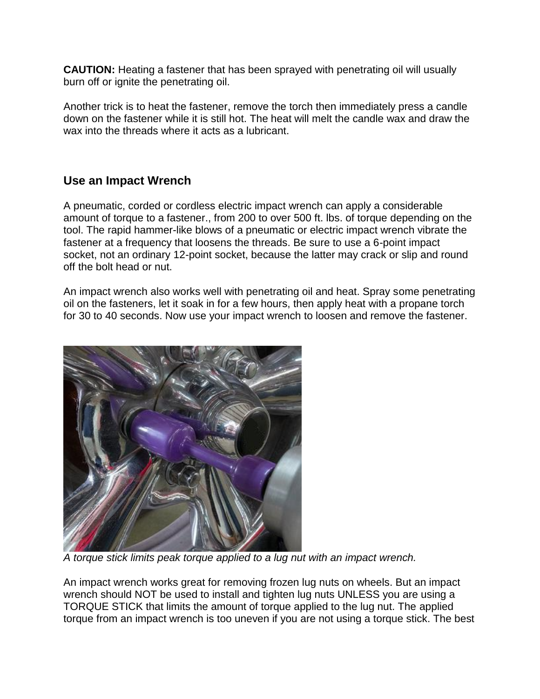**CAUTION:** Heating a fastener that has been sprayed with penetrating oil will usually burn off or ignite the penetrating oil.

Another trick is to heat the fastener, remove the torch then immediately press a candle down on the fastener while it is still hot. The heat will melt the candle wax and draw the wax into the threads where it acts as a lubricant.

## **Use an Impact Wrench**

A pneumatic, corded or cordless electric impact wrench can apply a considerable amount of torque to a fastener., from 200 to over 500 ft. lbs. of torque depending on the tool. The rapid hammer-like blows of a pneumatic or electric impact wrench vibrate the fastener at a frequency that loosens the threads. Be sure to use a 6-point impact socket, not an ordinary 12-point socket, because the latter may crack or slip and round off the bolt head or nut.

An impact wrench also works well with penetrating oil and heat. Spray some penetrating oil on the fasteners, let it soak in for a few hours, then apply heat with a propane torch for 30 to 40 seconds. Now use your impact wrench to loosen and remove the fastener.



*A torque stick limits peak torque applied to a lug nut with an impact wrench.*

An impact wrench works great for removing frozen lug nuts on wheels. But an impact wrench should NOT be used to install and tighten lug nuts UNLESS you are using a TORQUE STICK that limits the amount of torque applied to the lug nut. The applied torque from an impact wrench is too uneven if you are not using a torque stick. The best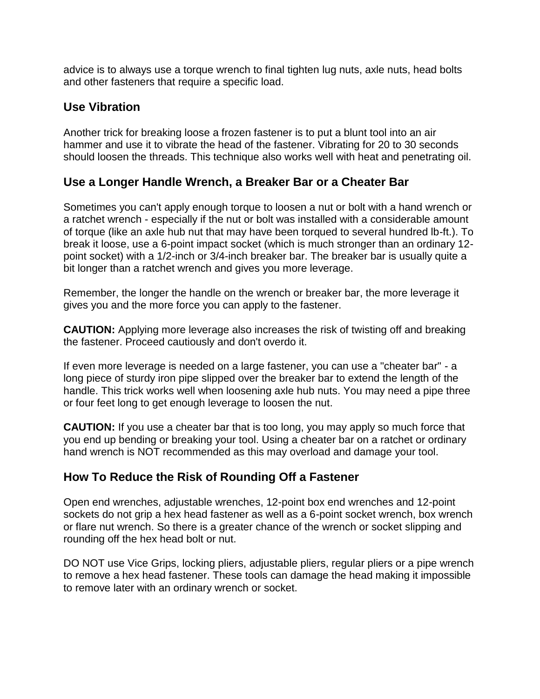advice is to always use a torque wrench to final tighten lug nuts, axle nuts, head bolts and other fasteners that require a specific load.

#### **Use Vibration**

Another trick for breaking loose a frozen fastener is to put a blunt tool into an air hammer and use it to vibrate the head of the fastener. Vibrating for 20 to 30 seconds should loosen the threads. This technique also works well with heat and penetrating oil.

### **Use a Longer Handle Wrench, a Breaker Bar or a Cheater Bar**

Sometimes you can't apply enough torque to loosen a nut or bolt with a hand wrench or a ratchet wrench - especially if the nut or bolt was installed with a considerable amount of torque (like an axle hub nut that may have been torqued to several hundred lb-ft.). To break it loose, use a 6-point impact socket (which is much stronger than an ordinary 12 point socket) with a 1/2-inch or 3/4-inch breaker bar. The breaker bar is usually quite a bit longer than a ratchet wrench and gives you more leverage.

Remember, the longer the handle on the wrench or breaker bar, the more leverage it gives you and the more force you can apply to the fastener.

**CAUTION:** Applying more leverage also increases the risk of twisting off and breaking the fastener. Proceed cautiously and don't overdo it.

If even more leverage is needed on a large fastener, you can use a "cheater bar" - a long piece of sturdy iron pipe slipped over the breaker bar to extend the length of the handle. This trick works well when loosening axle hub nuts. You may need a pipe three or four feet long to get enough leverage to loosen the nut.

**CAUTION:** If you use a cheater bar that is too long, you may apply so much force that you end up bending or breaking your tool. Using a cheater bar on a ratchet or ordinary hand wrench is NOT recommended as this may overload and damage your tool.

## **How To Reduce the Risk of Rounding Off a Fastener**

Open end wrenches, adjustable wrenches, 12-point box end wrenches and 12-point sockets do not grip a hex head fastener as well as a 6-point socket wrench, box wrench or flare nut wrench. So there is a greater chance of the wrench or socket slipping and rounding off the hex head bolt or nut.

DO NOT use Vice Grips, locking pliers, adjustable pliers, regular pliers or a pipe wrench to remove a hex head fastener. These tools can damage the head making it impossible to remove later with an ordinary wrench or socket.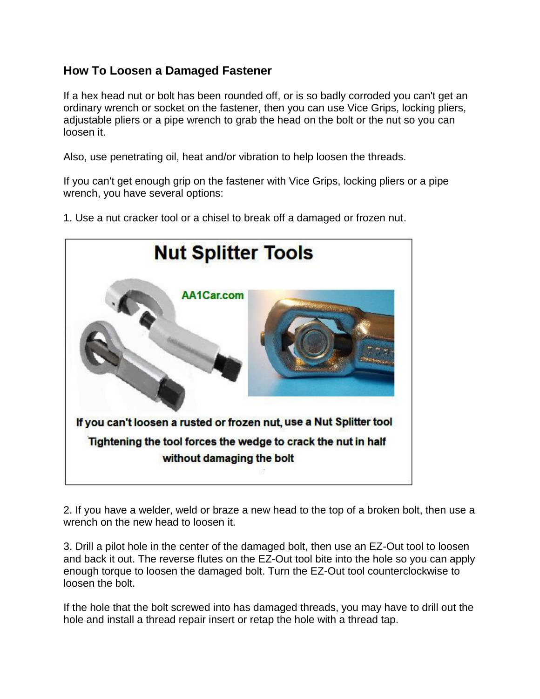## **How To Loosen a Damaged Fastener**

If a hex head nut or bolt has been rounded off, or is so badly corroded you can't get an ordinary wrench or socket on the fastener, then you can use Vice Grips, locking pliers, adjustable pliers or a pipe wrench to grab the head on the bolt or the nut so you can loosen it.

Also, use penetrating oil, heat and/or vibration to help loosen the threads.

If you can't get enough grip on the fastener with Vice Grips, locking pliers or a pipe wrench, you have several options:

1. Use a nut cracker tool or a chisel to break off a damaged or frozen nut.



2. If you have a welder, weld or braze a new head to the top of a broken bolt, then use a wrench on the new head to loosen it.

3. Drill a pilot hole in the center of the damaged bolt, then use an EZ-Out tool to loosen and back it out. The reverse flutes on the EZ-Out tool bite into the hole so you can apply enough torque to loosen the damaged bolt. Turn the EZ-Out tool counterclockwise to loosen the bolt.

If the hole that the bolt screwed into has damaged threads, you may have to drill out the hole and install a thread repair insert or retap the hole with a thread tap.